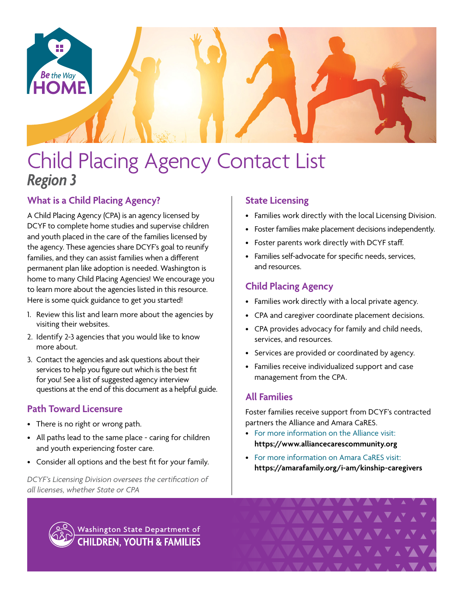

# Child Placing Agency Contact List *Region 3*

# **What is a Child Placing Agency?**

A Child Placing Agency (CPA) is an agency licensed by DCYF to complete home studies and supervise children and youth placed in the care of the families licensed by the agency. These agencies share DCYF's goal to reunify families, and they can assist families when a different permanent plan like adoption is needed. Washington is home to many Child Placing Agencies! We encourage you to learn more about the agencies listed in this resource. Here is some quick guidance to get you started!

- 1. Review this list and learn more about the agencies by visiting their websites.
- 2. Identify 2-3 agencies that you would like to know more about.
- 3. Contact the agencies and ask questions about their services to help you figure out which is the best fit for you! See a list of suggested agency interview questions at the end of this document as a helpful guide.

# **Path Toward Licensure**

- There is no right or wrong path.
- All paths lead to the same place caring for children and youth experiencing foster care.
- Consider all options and the best fit for your family.

*DCYF's Licensing Division oversees the certification of all licenses, whether State or CPA*

# **State Licensing**

- Families work directly with the local Licensing Division.
- Foster families make placement decisions independently.
- Foster parents work directly with DCYF staff.
- Families self-advocate for specific needs, services, and resources.

# **Child Placing Agency**

- Families work directly with a local private agency.
- CPA and caregiver coordinate placement decisions.
- CPA provides advocacy for family and child needs, services, and resources.
- Services are provided or coordinated by agency.
- Families receive individualized support and case management from the CPA.

# **All Families**

Foster families receive support from DCYF's contracted partners the Alliance and Amara CaRES.

- For more information on the Alliance visit: **<https://www.alliancecarescommunity.org>**
- For more information on Amara CaRES visit: **[https://amarafamily.org/i-am/kinship-caregivers](https://amarafamily.org/i-am/kinship-caregivers/)**



Washington State Department of **CHILDREN, YOUTH & FAMILIES**  VAVAVAVA<sup>V</sup>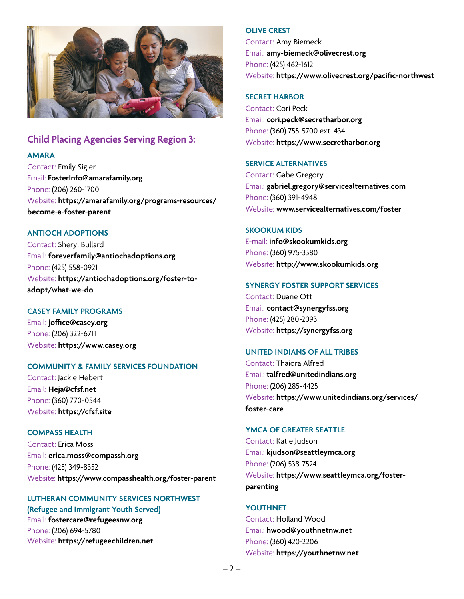

# **Child Placing Agencies Serving Region 3:**

**AMARA**

Contact: Emily Sigler Email: **[FosterInfo@amarafamily.org](mailto:FosterInfo%40amarafamily.org?subject=)** Phone: (206) 260-1700 Website: **[https://amarafamily.org/programs-resources/](https://amarafamily.org/programs-resources/become-a-foster-parent) [become-a-foster-parent](https://amarafamily.org/programs-resources/become-a-foster-parent)**

## **ANTIOCH ADOPTIONS**

Contact: Sheryl Bullard Email: **[foreverfamily@antiochadoptions.org](mailto:foreverfamily%40antiochadoptions.org?subject=)** Phone: (425) 558-0921 Website: **[https://antiochadoptions.org/foster-to](https://antiochadoptions.org/foster-to-adopt/what-we-do)[adopt/what-we-do](https://antiochadoptions.org/foster-to-adopt/what-we-do)**

# **CASEY FAMILY PROGRAMS**

Email: **[joffice@casey.org](mailto:joffice%40casey.org?subject=)** Phone: (206) 322-6711 Website: **[https://www.casey.org](https://www.casey.org/)**

#### **COMMUNITY & FAMILY SERVICES FOUNDATION**

Contact: Jackie Hebert Email: **[Heja@cfsf.net](mailto:Heja%40cfsf.net?subject=)** Phone: (360) 770-0544 Website: **<https://cfsf.site>**

#### **COMPASS HEALTH**

Contact: Erica Moss Email: **[erica.moss@compassh.org](mailto:erica.moss%40compassh.org?subject=)** Phone: (425) 349-8352 Website: **<https://www.compasshealth.org/foster-parent>**

# **LUTHERAN COMMUNITY SERVICES NORTHWEST**

**(Refugee and Immigrant Youth Served)** Email: **[fostercare@refugeesnw.org](mailto:fostercare%40refugeesnw.org?subject=)** Phone: (206) 694-5780 Website: **<https://refugeechildren.net>**

#### **OLIVE CREST**

Contact: Amy Biemeck Email: **[amy-biemeck@olivecrest.org](mailto:amy-biemeck%40olivecrest.org?subject=)** Phone: (425) 462-1612 Website: **<https://www.olivecrest.org/pacific-northwest>**

## **SECRET HARBOR**

Contact: Cori Peck Email: **[cori.peck@secretharbor.org](mailto:cori.peck%40secretharbor.org?subject=)** Phone: (360) 755-5700 ext. 434 Website: **<https://www.secretharbor.org>**

## **SERVICE ALTERNATIVES**

Contact: Gabe Gregory Email: **[gabriel.gregory@servicealternatives.com](mailto:gabriel.gregory%40servicealternatives.com?subject=)** Phone: (360) 391-4948 Website: **[www.servicealternatives.com/foster](https://servicealternatives.com/what-we-do/programs-for-children-families/foster-parent-recruitment/)**

# **SKOOKUM KIDS**

E-mail: **[info@skookumkids.org](mailto:info%40skookumkids.org?subject=)** Phone: (360) 975-3380 Website: **<http://www.skookumkids.org>**

## **SYNERGY FOSTER SUPPORT SERVICES**

Contact: Duane Ott Email: **[contact@synergyfss.org](mailto:contact%40synergyfss.org?subject=)** Phone: (425) 280-2093 Website: **<https://synergyfss.org>**

#### **UNITED INDIANS OF ALL TRIBES**

Contact: Thaidra Alfred Email: **[talfred@unitedindians.org](mailto:talfred%40unitedindians.org?subject=)** Phone: (206) 285-4425 Website: **[https://www.unitedindians.org/services/](https://www.unitedindians.org/services/foster-care) [foster-care](https://www.unitedindians.org/services/foster-care)**

# **YMCA OF GREATER SEATTLE**

Contact: Katie Judson Email: **[kjudson@seattleymca.org](mailto:kjudson%40seattleymca.org?subject=)** Phone: (206) 538-7524 Website: **[https://www.seattleymca.org/foster](https://www.seattleymca.org/foster-parenting)[parenting](https://www.seattleymca.org/foster-parenting)**

# **YOUTHNET**

Contact: Holland Wood Email: **[hwood@youthnetnw.net](mailto:hwood%40youthnetnw.net?subject=)** Phone: (360) 420-2206 Website: **<https://youthnetnw.net>**